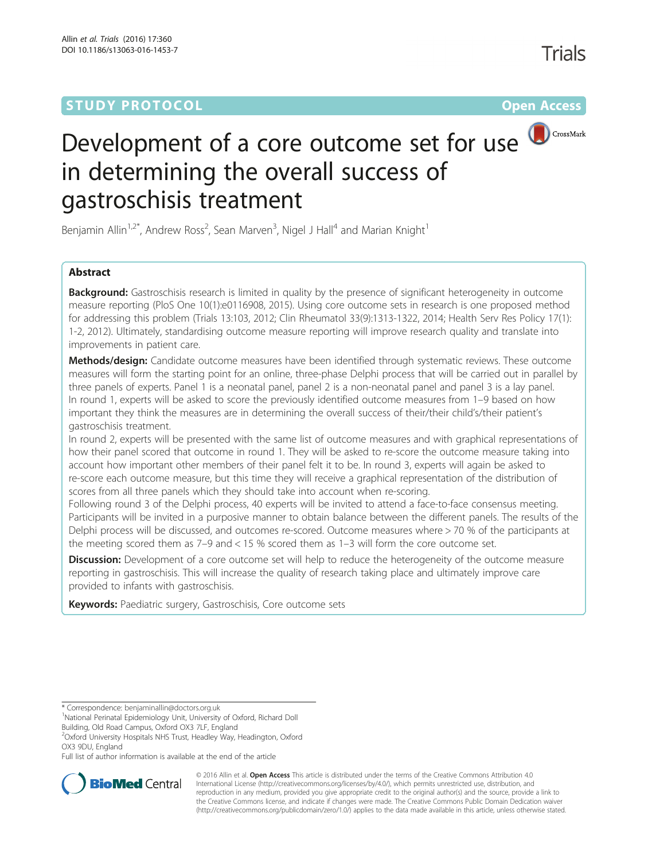# **STUDY PROTOCOL CONSUMING THE RESERVE ACCESS**



# Development of a core outcome set for use in determining the overall success of gastroschisis treatment

Benjamin Allin<sup>1,2\*</sup>, Andrew Ross<sup>2</sup>, Sean Marven<sup>3</sup>, Nigel J Hall<sup>4</sup> and Marian Knight<sup>1</sup>

# Abstract

**Background:** Gastroschisis research is limited in quality by the presence of significant heterogeneity in outcome measure reporting (PloS One 10(1):e0116908, 2015). Using core outcome sets in research is one proposed method for addressing this problem (Trials 13:103, 2012; Clin Rheumatol 33(9):1313-1322, 2014; Health Serv Res Policy 17(1): 1-2, 2012). Ultimately, standardising outcome measure reporting will improve research quality and translate into improvements in patient care.

Methods/design: Candidate outcome measures have been identified through systematic reviews. These outcome measures will form the starting point for an online, three-phase Delphi process that will be carried out in parallel by three panels of experts. Panel 1 is a neonatal panel, panel 2 is a non-neonatal panel and panel 3 is a lay panel. In round 1, experts will be asked to score the previously identified outcome measures from 1–9 based on how important they think the measures are in determining the overall success of their/their child's/their patient's gastroschisis treatment.

In round 2, experts will be presented with the same list of outcome measures and with graphical representations of how their panel scored that outcome in round 1. They will be asked to re-score the outcome measure taking into account how important other members of their panel felt it to be. In round 3, experts will again be asked to re-score each outcome measure, but this time they will receive a graphical representation of the distribution of scores from all three panels which they should take into account when re-scoring.

Following round 3 of the Delphi process, 40 experts will be invited to attend a face-to-face consensus meeting. Participants will be invited in a purposive manner to obtain balance between the different panels. The results of the Delphi process will be discussed, and outcomes re-scored. Outcome measures where > 70 % of the participants at the meeting scored them as 7–9 and < 15 % scored them as 1–3 will form the core outcome set.

**Discussion:** Development of a core outcome set will help to reduce the heterogeneity of the outcome measure reporting in gastroschisis. This will increase the quality of research taking place and ultimately improve care provided to infants with gastroschisis.

Keywords: Paediatric surgery, Gastroschisis, Core outcome sets

Building, Old Road Campus, Oxford OX3 7LF, England

<sup>2</sup>Oxford University Hospitals NHS Trust, Headley Way, Headington, Oxford OX3 9DU, England

Full list of author information is available at the end of the article



© 2016 Allin et al. Open Access This article is distributed under the terms of the Creative Commons Attribution 4.0 International License [\(http://creativecommons.org/licenses/by/4.0/](http://creativecommons.org/licenses/by/4.0/)), which permits unrestricted use, distribution, and reproduction in any medium, provided you give appropriate credit to the original author(s) and the source, provide a link to the Creative Commons license, and indicate if changes were made. The Creative Commons Public Domain Dedication waiver [\(http://creativecommons.org/publicdomain/zero/1.0/](http://creativecommons.org/publicdomain/zero/1.0/)) applies to the data made available in this article, unless otherwise stated.

<sup>\*</sup> Correspondence: [benjaminallin@doctors.org.uk](mailto:benjaminallin@doctors.org.uk) <sup>1</sup>

National Perinatal Epidemiology Unit, University of Oxford, Richard Doll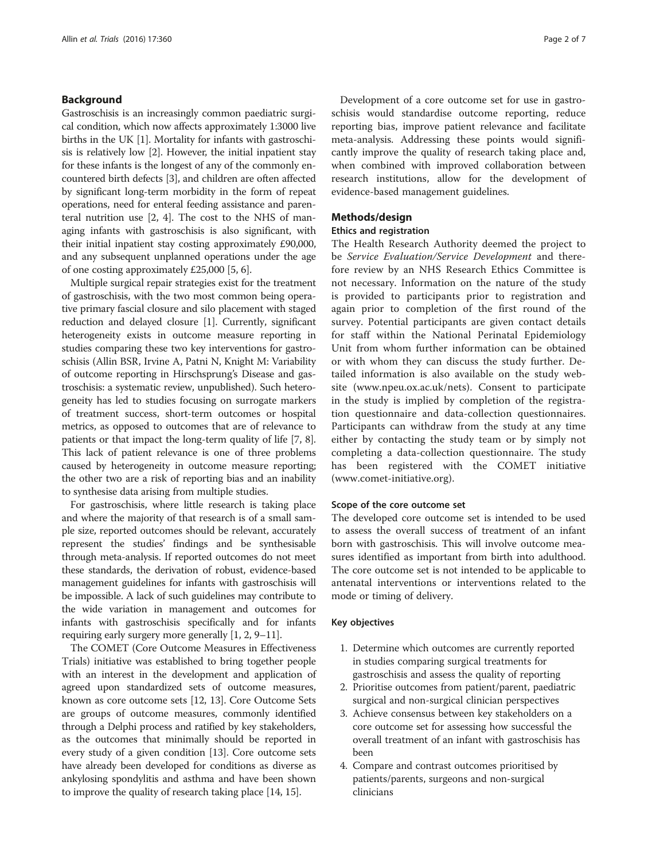### Background

Gastroschisis is an increasingly common paediatric surgical condition, which now affects approximately 1:3000 live births in the UK [[1\]](#page-5-0). Mortality for infants with gastroschisis is relatively low [[2](#page-5-0)]. However, the initial inpatient stay for these infants is the longest of any of the commonly encountered birth defects [\[3](#page-5-0)], and children are often affected by significant long-term morbidity in the form of repeat operations, need for enteral feeding assistance and parenteral nutrition use [[2, 4\]](#page-5-0). The cost to the NHS of managing infants with gastroschisis is also significant, with their initial inpatient stay costing approximately £90,000, and any subsequent unplanned operations under the age of one costing approximately £25,000 [[5, 6](#page-5-0)].

Multiple surgical repair strategies exist for the treatment of gastroschisis, with the two most common being operative primary fascial closure and silo placement with staged reduction and delayed closure [\[1\]](#page-5-0). Currently, significant heterogeneity exists in outcome measure reporting in studies comparing these two key interventions for gastroschisis (Allin BSR, Irvine A, Patni N, Knight M: Variability of outcome reporting in Hirschsprung's Disease and gastroschisis: a systematic review, unpublished). Such heterogeneity has led to studies focusing on surrogate markers of treatment success, short-term outcomes or hospital metrics, as opposed to outcomes that are of relevance to patients or that impact the long-term quality of life [\[7](#page-5-0), [8](#page-6-0)]. This lack of patient relevance is one of three problems caused by heterogeneity in outcome measure reporting; the other two are a risk of reporting bias and an inability to synthesise data arising from multiple studies.

For gastroschisis, where little research is taking place and where the majority of that research is of a small sample size, reported outcomes should be relevant, accurately represent the studies' findings and be synthesisable through meta-analysis. If reported outcomes do not meet these standards, the derivation of robust, evidence-based management guidelines for infants with gastroschisis will be impossible. A lack of such guidelines may contribute to the wide variation in management and outcomes for infants with gastroschisis specifically and for infants requiring early surgery more generally [[1, 2](#page-5-0), [9](#page-6-0)–[11](#page-6-0)].

The COMET (Core Outcome Measures in Effectiveness Trials) initiative was established to bring together people with an interest in the development and application of agreed upon standardized sets of outcome measures, known as core outcome sets [\[12, 13\]](#page-6-0). Core Outcome Sets are groups of outcome measures, commonly identified through a Delphi process and ratified by key stakeholders, as the outcomes that minimally should be reported in every study of a given condition [\[13](#page-6-0)]. Core outcome sets have already been developed for conditions as diverse as ankylosing spondylitis and asthma and have been shown to improve the quality of research taking place [[14, 15\]](#page-6-0).

Development of a core outcome set for use in gastroschisis would standardise outcome reporting, reduce reporting bias, improve patient relevance and facilitate meta-analysis. Addressing these points would significantly improve the quality of research taking place and, when combined with improved collaboration between research institutions, allow for the development of evidence-based management guidelines.

#### Methods/design

#### Ethics and registration

The Health Research Authority deemed the project to be Service Evaluation/Service Development and therefore review by an NHS Research Ethics Committee is not necessary. Information on the nature of the study is provided to participants prior to registration and again prior to completion of the first round of the survey. Potential participants are given contact details for staff within the National Perinatal Epidemiology Unit from whom further information can be obtained or with whom they can discuss the study further. Detailed information is also available on the study website ([www.npeu.ox.ac.uk/nets\)](http://www.npeu.ox.ac.uk/nets). Consent to participate in the study is implied by completion of the registration questionnaire and data-collection questionnaires. Participants can withdraw from the study at any time either by contacting the study team or by simply not completing a data-collection questionnaire. The study has been registered with the COMET initiative ([www.comet-initiative.org](http://www.comet-initiative.org/)).

#### Scope of the core outcome set

The developed core outcome set is intended to be used to assess the overall success of treatment of an infant born with gastroschisis. This will involve outcome measures identified as important from birth into adulthood. The core outcome set is not intended to be applicable to antenatal interventions or interventions related to the mode or timing of delivery.

#### Key objectives

- 1. Determine which outcomes are currently reported in studies comparing surgical treatments for gastroschisis and assess the quality of reporting
- 2. Prioritise outcomes from patient/parent, paediatric surgical and non-surgical clinician perspectives
- 3. Achieve consensus between key stakeholders on a core outcome set for assessing how successful the overall treatment of an infant with gastroschisis has been
- 4. Compare and contrast outcomes prioritised by patients/parents, surgeons and non-surgical clinicians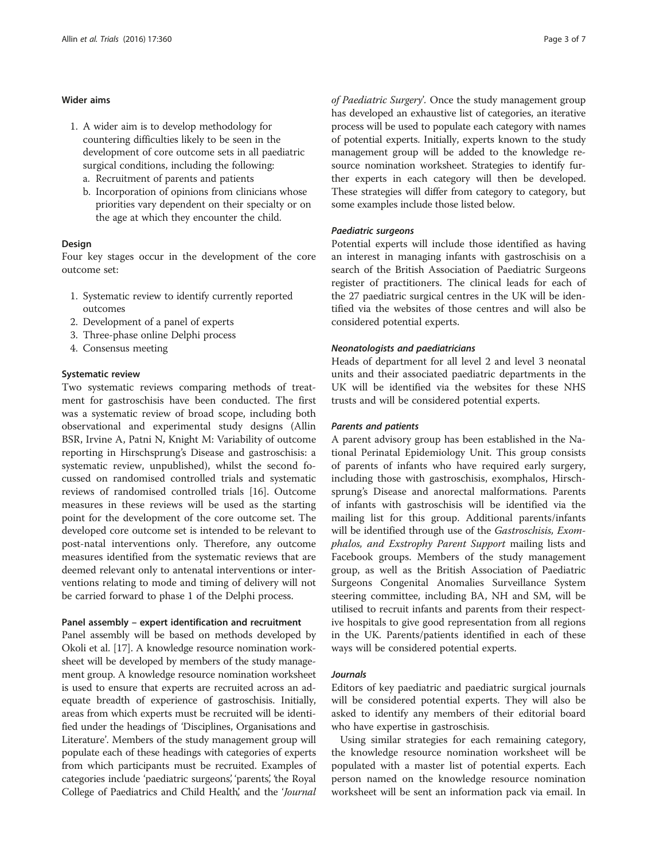#### Wider aims

- 1. A wider aim is to develop methodology for countering difficulties likely to be seen in the development of core outcome sets in all paediatric surgical conditions, including the following:
	- a. Recruitment of parents and patients
	- b. Incorporation of opinions from clinicians whose priorities vary dependent on their specialty or on the age at which they encounter the child.

#### Design

Four key stages occur in the development of the core outcome set:

- 1. Systematic review to identify currently reported outcomes
- 2. Development of a panel of experts
- 3. Three-phase online Delphi process
- 4. Consensus meeting

#### Systematic review

Two systematic reviews comparing methods of treatment for gastroschisis have been conducted. The first was a systematic review of broad scope, including both observational and experimental study designs (Allin BSR, Irvine A, Patni N, Knight M: Variability of outcome reporting in Hirschsprung's Disease and gastroschisis: a systematic review, unpublished), whilst the second focussed on randomised controlled trials and systematic reviews of randomised controlled trials [\[16](#page-6-0)]. Outcome measures in these reviews will be used as the starting point for the development of the core outcome set. The developed core outcome set is intended to be relevant to post-natal interventions only. Therefore, any outcome measures identified from the systematic reviews that are deemed relevant only to antenatal interventions or interventions relating to mode and timing of delivery will not be carried forward to phase 1 of the Delphi process.

#### Panel assembly – expert identification and recruitment

Panel assembly will be based on methods developed by Okoli et al. [\[17\]](#page-6-0). A knowledge resource nomination worksheet will be developed by members of the study management group. A knowledge resource nomination worksheet is used to ensure that experts are recruited across an adequate breadth of experience of gastroschisis. Initially, areas from which experts must be recruited will be identified under the headings of 'Disciplines, Organisations and Literature'. Members of the study management group will populate each of these headings with categories of experts from which participants must be recruited. Examples of categories include 'paediatric surgeons', 'parents', 'the Royal College of Paediatrics and Child Health', and the 'Journal of Paediatric Surgery'. Once the study management group has developed an exhaustive list of categories, an iterative process will be used to populate each category with names of potential experts. Initially, experts known to the study management group will be added to the knowledge resource nomination worksheet. Strategies to identify further experts in each category will then be developed. These strategies will differ from category to category, but some examples include those listed below.

#### Paediatric surgeons

Potential experts will include those identified as having an interest in managing infants with gastroschisis on a search of the British Association of Paediatric Surgeons register of practitioners. The clinical leads for each of the 27 paediatric surgical centres in the UK will be identified via the websites of those centres and will also be considered potential experts.

#### Neonatologists and paediatricians

Heads of department for all level 2 and level 3 neonatal units and their associated paediatric departments in the UK will be identified via the websites for these NHS trusts and will be considered potential experts.

#### Parents and patients

A parent advisory group has been established in the National Perinatal Epidemiology Unit. This group consists of parents of infants who have required early surgery, including those with gastroschisis, exomphalos, Hirschsprung's Disease and anorectal malformations. Parents of infants with gastroschisis will be identified via the mailing list for this group. Additional parents/infants will be identified through use of the Gastroschisis, Exomphalos, and Exstrophy Parent Support mailing lists and Facebook groups. Members of the study management group, as well as the British Association of Paediatric Surgeons Congenital Anomalies Surveillance System steering committee, including BA, NH and SM, will be utilised to recruit infants and parents from their respective hospitals to give good representation from all regions in the UK. Parents/patients identified in each of these ways will be considered potential experts.

#### Journals

Editors of key paediatric and paediatric surgical journals will be considered potential experts. They will also be asked to identify any members of their editorial board who have expertise in gastroschisis.

Using similar strategies for each remaining category, the knowledge resource nomination worksheet will be populated with a master list of potential experts. Each person named on the knowledge resource nomination worksheet will be sent an information pack via email. In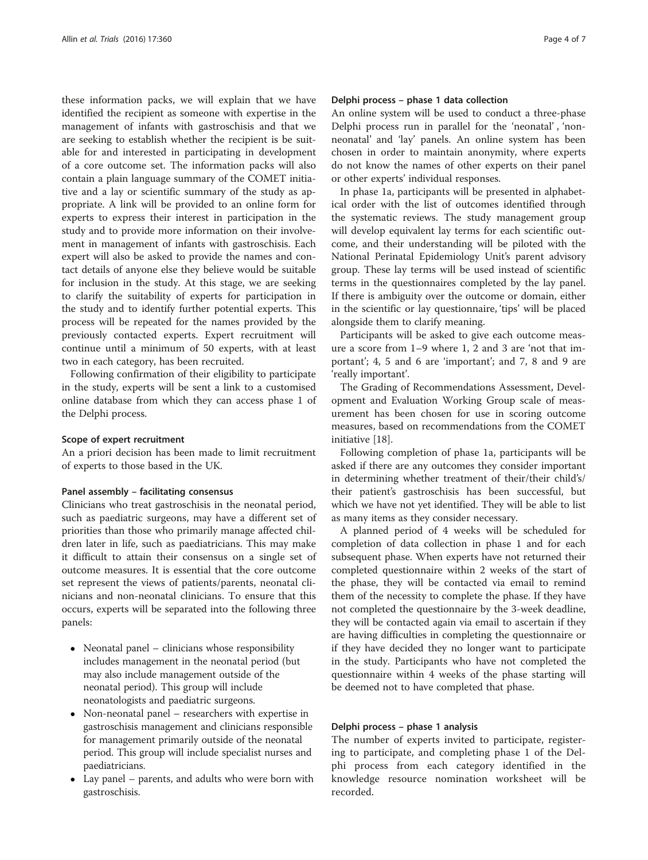these information packs, we will explain that we have identified the recipient as someone with expertise in the management of infants with gastroschisis and that we are seeking to establish whether the recipient is be suitable for and interested in participating in development of a core outcome set. The information packs will also contain a plain language summary of the COMET initiative and a lay or scientific summary of the study as appropriate. A link will be provided to an online form for experts to express their interest in participation in the study and to provide more information on their involvement in management of infants with gastroschisis. Each expert will also be asked to provide the names and contact details of anyone else they believe would be suitable for inclusion in the study. At this stage, we are seeking to clarify the suitability of experts for participation in the study and to identify further potential experts. This process will be repeated for the names provided by the previously contacted experts. Expert recruitment will continue until a minimum of 50 experts, with at least two in each category, has been recruited.

Following confirmation of their eligibility to participate in the study, experts will be sent a link to a customised online database from which they can access phase 1 of the Delphi process.

#### Scope of expert recruitment

An a priori decision has been made to limit recruitment of experts to those based in the UK.

#### Panel assembly – facilitating consensus

Clinicians who treat gastroschisis in the neonatal period, such as paediatric surgeons, may have a different set of priorities than those who primarily manage affected children later in life, such as paediatricians. This may make it difficult to attain their consensus on a single set of outcome measures. It is essential that the core outcome set represent the views of patients/parents, neonatal clinicians and non-neonatal clinicians. To ensure that this occurs, experts will be separated into the following three panels:

- Neonatal panel clinicians whose responsibility includes management in the neonatal period (but may also include management outside of the neonatal period). This group will include neonatologists and paediatric surgeons.
- Non-neonatal panel researchers with expertise in gastroschisis management and clinicians responsible for management primarily outside of the neonatal period. This group will include specialist nurses and paediatricians.
- Lay panel parents, and adults who were born with gastroschisis.

#### Delphi process – phase 1 data collection

An online system will be used to conduct a three-phase Delphi process run in parallel for the 'neonatal' , 'nonneonatal' and 'lay' panels. An online system has been chosen in order to maintain anonymity, where experts do not know the names of other experts on their panel or other experts' individual responses.

In phase 1a, participants will be presented in alphabetical order with the list of outcomes identified through the systematic reviews. The study management group will develop equivalent lay terms for each scientific outcome, and their understanding will be piloted with the National Perinatal Epidemiology Unit's parent advisory group. These lay terms will be used instead of scientific terms in the questionnaires completed by the lay panel. If there is ambiguity over the outcome or domain, either in the scientific or lay questionnaire, 'tips' will be placed alongside them to clarify meaning.

Participants will be asked to give each outcome measure a score from 1–9 where 1, 2 and 3 are 'not that important'; 4, 5 and 6 are 'important'; and 7, 8 and 9 are 'really important'.

The Grading of Recommendations Assessment, Development and Evaluation Working Group scale of measurement has been chosen for use in scoring outcome measures, based on recommendations from the COMET initiative [\[18\]](#page-6-0).

Following completion of phase 1a, participants will be asked if there are any outcomes they consider important in determining whether treatment of their/their child's/ their patient's gastroschisis has been successful, but which we have not yet identified. They will be able to list as many items as they consider necessary.

A planned period of 4 weeks will be scheduled for completion of data collection in phase 1 and for each subsequent phase. When experts have not returned their completed questionnaire within 2 weeks of the start of the phase, they will be contacted via email to remind them of the necessity to complete the phase. If they have not completed the questionnaire by the 3-week deadline, they will be contacted again via email to ascertain if they are having difficulties in completing the questionnaire or if they have decided they no longer want to participate in the study. Participants who have not completed the questionnaire within 4 weeks of the phase starting will be deemed not to have completed that phase.

#### Delphi process – phase 1 analysis

The number of experts invited to participate, registering to participate, and completing phase 1 of the Delphi process from each category identified in the knowledge resource nomination worksheet will be recorded.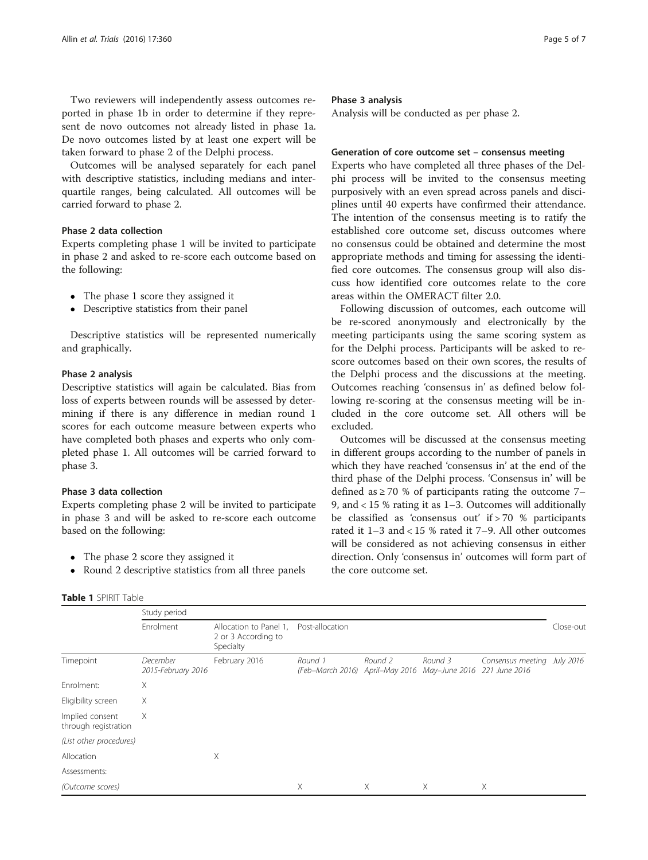<span id="page-4-0"></span>Two reviewers will independently assess outcomes reported in phase 1b in order to determine if they represent de novo outcomes not already listed in phase 1a. De novo outcomes listed by at least one expert will be taken forward to phase 2 of the Delphi process.

Outcomes will be analysed separately for each panel with descriptive statistics, including medians and interquartile ranges, being calculated. All outcomes will be carried forward to phase 2.

#### Phase 2 data collection

Experts completing phase 1 will be invited to participate in phase 2 and asked to re-score each outcome based on the following:

- The phase 1 score they assigned it
- Descriptive statistics from their panel

Descriptive statistics will be represented numerically and graphically.

#### Phase 2 analysis

Descriptive statistics will again be calculated. Bias from loss of experts between rounds will be assessed by determining if there is any difference in median round 1 scores for each outcome measure between experts who have completed both phases and experts who only completed phase 1. All outcomes will be carried forward to phase 3.

### Phase 3 data collection

Experts completing phase 2 will be invited to participate in phase 3 and will be asked to re-score each outcome based on the following:

- The phase 2 score they assigned it
- Round 2 descriptive statistics from all three panels

#### Phase 3 analysis

Analysis will be conducted as per phase 2.

#### Generation of core outcome set – consensus meeting

Experts who have completed all three phases of the Delphi process will be invited to the consensus meeting purposively with an even spread across panels and disciplines until 40 experts have confirmed their attendance. The intention of the consensus meeting is to ratify the established core outcome set, discuss outcomes where no consensus could be obtained and determine the most appropriate methods and timing for assessing the identified core outcomes. The consensus group will also discuss how identified core outcomes relate to the core areas within the OMERACT filter 2.0.

Following discussion of outcomes, each outcome will be re-scored anonymously and electronically by the meeting participants using the same scoring system as for the Delphi process. Participants will be asked to rescore outcomes based on their own scores, the results of the Delphi process and the discussions at the meeting. Outcomes reaching 'consensus in' as defined below following re-scoring at the consensus meeting will be included in the core outcome set. All others will be excluded.

Outcomes will be discussed at the consensus meeting in different groups according to the number of panels in which they have reached 'consensus in' at the end of the third phase of the Delphi process. 'Consensus in' will be defined as  $\geq$  70 % of participants rating the outcome 7– 9, and < 15 % rating it as 1–3. Outcomes will additionally be classified as 'consensus out' if > 70 % participants rated it 1–3 and < 15 % rated it 7–9. All other outcomes will be considered as not achieving consensus in either direction. Only 'consensus in' outcomes will form part of the core outcome set.

|                                         | Study period                   |                                                            |                                                                        |         |         |                             |           |
|-----------------------------------------|--------------------------------|------------------------------------------------------------|------------------------------------------------------------------------|---------|---------|-----------------------------|-----------|
|                                         | Enrolment                      | Allocation to Panel 1,<br>2 or 3 According to<br>Specialty | Post-allocation                                                        |         |         |                             | Close-out |
| Timepoint                               | December<br>2015-February 2016 | February 2016                                              | Round 1<br>(Feb-March 2016) April-May 2016 May-June 2016 221 June 2016 | Round 2 | Round 3 | Consensus meeting July 2016 |           |
| Enrolment:                              | X                              |                                                            |                                                                        |         |         |                             |           |
| Eligibility screen                      | X                              |                                                            |                                                                        |         |         |                             |           |
| Implied consent<br>through registration | X                              |                                                            |                                                                        |         |         |                             |           |
| (List other procedures)                 |                                |                                                            |                                                                        |         |         |                             |           |
| Allocation                              |                                | Χ                                                          |                                                                        |         |         |                             |           |
| Assessments:                            |                                |                                                            |                                                                        |         |         |                             |           |
| (Outcome scores)                        |                                |                                                            | X.                                                                     | Χ       | X       | Χ                           |           |

# Table 1 SPIRIT Table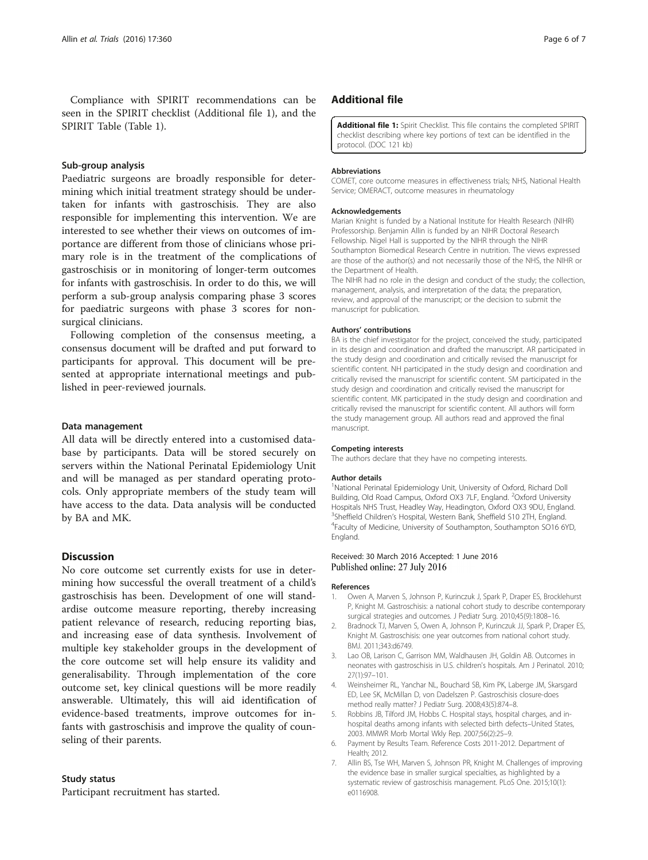<span id="page-5-0"></span>Compliance with SPIRIT recommendations can be seen in the SPIRIT checklist (Additional file 1), and the SPIRIT Table (Table [1\)](#page-4-0).

#### Sub-group analysis

Paediatric surgeons are broadly responsible for determining which initial treatment strategy should be undertaken for infants with gastroschisis. They are also responsible for implementing this intervention. We are interested to see whether their views on outcomes of importance are different from those of clinicians whose primary role is in the treatment of the complications of gastroschisis or in monitoring of longer-term outcomes for infants with gastroschisis. In order to do this, we will perform a sub-group analysis comparing phase 3 scores for paediatric surgeons with phase 3 scores for nonsurgical clinicians.

Following completion of the consensus meeting, a consensus document will be drafted and put forward to participants for approval. This document will be presented at appropriate international meetings and published in peer-reviewed journals.

#### Data management

All data will be directly entered into a customised database by participants. Data will be stored securely on servers within the National Perinatal Epidemiology Unit and will be managed as per standard operating protocols. Only appropriate members of the study team will have access to the data. Data analysis will be conducted by BA and MK.

# **Discussion**

No core outcome set currently exists for use in determining how successful the overall treatment of a child's gastroschisis has been. Development of one will standardise outcome measure reporting, thereby increasing patient relevance of research, reducing reporting bias, and increasing ease of data synthesis. Involvement of multiple key stakeholder groups in the development of the core outcome set will help ensure its validity and generalisability. Through implementation of the core outcome set, key clinical questions will be more readily answerable. Ultimately, this will aid identification of evidence-based treatments, improve outcomes for infants with gastroschisis and improve the quality of counseling of their parents.

#### Study status

Participant recruitment has started.

#### Additional file

[Additional file 1:](dx.doi.org/10.1186/s13063-016-1453-7) Spirit Checklist. This file contains the completed SPIRIT checklist describing where key portions of text can be identified in the protocol. (DOC 121 kb)

#### Abbreviations

COMET, core outcome measures in effectiveness trials; NHS, National Health Service; OMERACT, outcome measures in rheumatology

#### Acknowledgements

Marian Knight is funded by a National Institute for Health Research (NIHR) Professorship. Benjamin Allin is funded by an NIHR Doctoral Research Fellowship. Nigel Hall is supported by the NIHR through the NIHR Southampton Biomedical Research Centre in nutrition. The views expressed are those of the author(s) and not necessarily those of the NHS, the NIHR or the Department of Health.

The NIHR had no role in the design and conduct of the study; the collection, management, analysis, and interpretation of the data; the preparation, review, and approval of the manuscript; or the decision to submit the manuscript for publication.

#### Authors' contributions

BA is the chief investigator for the project, conceived the study, participated in its design and coordination and drafted the manuscript. AR participated in the study design and coordination and critically revised the manuscript for scientific content. NH participated in the study design and coordination and critically revised the manuscript for scientific content. SM participated in the study design and coordination and critically revised the manuscript for scientific content. MK participated in the study design and coordination and critically revised the manuscript for scientific content. All authors will form the study management group. All authors read and approved the final manuscript.

#### Competing interests

The authors declare that they have no competing interests.

#### Author details

<sup>1</sup>National Perinatal Epidemiology Unit, University of Oxford, Richard Doll Building, Old Road Campus, Oxford OX3 7LF, England. <sup>2</sup>Oxford University Hospitals NHS Trust, Headley Way, Headington, Oxford OX3 9DU, England. <sup>3</sup>Sheffield Children's Hospital, Western Bank, Sheffield S10 2TH, England.<br><sup>4</sup>Faculty of Modicine, University of Southampton, Southampton, SQ16 6 Faculty of Medicine, University of Southampton, Southampton SO16 6YD, England.

#### Received: 30 March 2016 Accepted: 1 June 2016 Published online: 27 July 2016

#### References

- 1. Owen A, Marven S, Johnson P, Kurinczuk J, Spark P, Draper ES, Brocklehurst P, Knight M. Gastroschisis: a national cohort study to describe contemporary surgical strategies and outcomes. J Pediatr Surg. 2010;45(9):1808–16.
- 2. Bradnock TJ, Marven S, Owen A, Johnson P, Kurinczuk JJ, Spark P, Draper ES, Knight M. Gastroschisis: one year outcomes from national cohort study. BMJ. 2011;343:d6749.
- 3. Lao OB, Larison C, Garrison MM, Waldhausen JH, Goldin AB. Outcomes in neonates with gastroschisis in U.S. children's hospitals. Am J Perinatol. 2010; 27(1):97–101.
- 4. Weinsheimer RL, Yanchar NL, Bouchard SB, Kim PK, Laberge JM, Skarsgard ED, Lee SK, McMillan D, von Dadelszen P. Gastroschisis closure-does method really matter? J Pediatr Surg. 2008;43(5):874–8.
- 5. Robbins JB, Tilford JM, Hobbs C. Hospital stays, hospital charges, and inhospital deaths among infants with selected birth defects–United States, 2003. MMWR Morb Mortal Wkly Rep. 2007;56(2):25–9.
- 6. Payment by Results Team. Reference Costs 2011-2012. Department of Health; 2012.
- 7. Allin BS, Tse WH, Marven S, Johnson PR, Knight M. Challenges of improving the evidence base in smaller surgical specialties, as highlighted by a systematic review of gastroschisis management. PLoS One. 2015;10(1): e0116908.